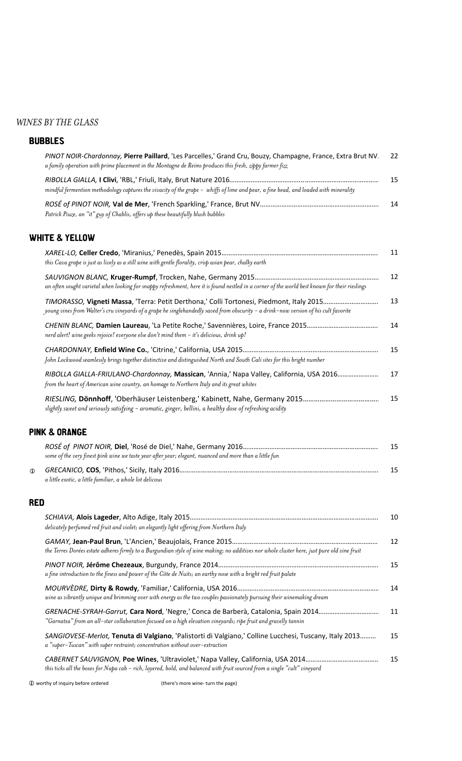## *WINES BY THE GLASS*

## BUBBLES

|              | PINOT NOIR-Chardonnay, Pierre Paillard, 'Les Parcelles,' Grand Cru, Bouzy, Champagne, France, Extra Brut NV.<br>a family operation with prime placement in the Montagne de Reims produces this fresh, zippy farmer fizz | 22 |
|--------------|-------------------------------------------------------------------------------------------------------------------------------------------------------------------------------------------------------------------------|----|
|              | mindful fermention methodology captures the vivacity of the grape - whiffs of lime and pear, a fine bead, and loaded with minerality                                                                                    | 15 |
|              | Patrick Piuze, an "it" guy of Chablis, offers up these beautifully blush bubbles                                                                                                                                        | 14 |
|              | <b>WHITE &amp; YELLOW</b>                                                                                                                                                                                               |    |
|              | this Cava grape is just as lively as a still wine with gentle florality, crisp asian pear, chalky earth                                                                                                                 | 11 |
|              | an often sought varietal when looking for snappy refreshment, here it is found nestled in a corner of the world best known for their rieslings                                                                          | 12 |
|              | young vines from Walter's cru vineyards of a grape he singlehandedly saved from obscurity - a drink-now version of his cult favorite                                                                                    | 13 |
|              | nerd alert! wine geeks rejoice! everyone else don't mind them - it's delicious, drink up!                                                                                                                               | 14 |
|              | John Lockwood seamlessly brings together distinctive and distinguished North and South Cali sites for this bright number                                                                                                | 15 |
|              | RIBOLLA GIALLA-FRIULANO-Chardonnay, Massican, 'Annia,' Napa Valley, California, USA 2016<br>from the heart of American wine country, an homage to Northern Italy and its great whites                                   | 17 |
|              | slightly sweet and seriously satisfying - aromatic, ginger, bellini, a healthy dose of refreshing acidity                                                                                                               | 15 |
|              | <b>PINK &amp; ORANGE</b>                                                                                                                                                                                                |    |
|              | some of the very finest pink wine we taste year after year; elegant, nuanced and more than a little fun                                                                                                                 | 15 |
| $\mathbf{D}$ | a little exotic, a little familiar, a whole lot delicous                                                                                                                                                                | 15 |
| <b>RED</b>   |                                                                                                                                                                                                                         |    |
|              | delicately perfumed red fruit and violet; an elegantly light offering from Northern Italy                                                                                                                               | 10 |
|              | the Terres Dorées estate adheres firmly to a Burgundian style of wine making; no additives nor whole cluster here, just pure old vine fruit                                                                             | 12 |
|              | a fine introduction to the finess and power of the Côte de Nuits; an earthy nose with a bright red fruit palate                                                                                                         | 15 |
|              | wine as vibrantly unique and brimming over with energy as the two couples passionately pursuing their winemaking dream                                                                                                  | 14 |
|              | "Garnatxa" from an all-star collaboration focused on a high elevation vineyards; ripe fruit and gravelly tannin                                                                                                         | 11 |
|              | SANGIOVESE-Merlot, Tenuta di Valgiano, 'Palistorti di Valgiano,' Colline Lucchesi, Tuscany, Italy 2013                                                                                                                  | 15 |

*CABERNET SAUVIGNON,* **Poe Wines**, 'Ultraviolet,' Napa Valley, California, USA 2014……………………………………………………..……………………………… 15 *this ticks all the boxes for Napa cab - rich, layered, bold, and balanced with fruit sourced from a single "cult" vineyard* 

**1** worthy of inquiry before ordered *If there's* more wine- turn the page)

*a "super-Tuscan" with super restraint; concentration without over-extraction*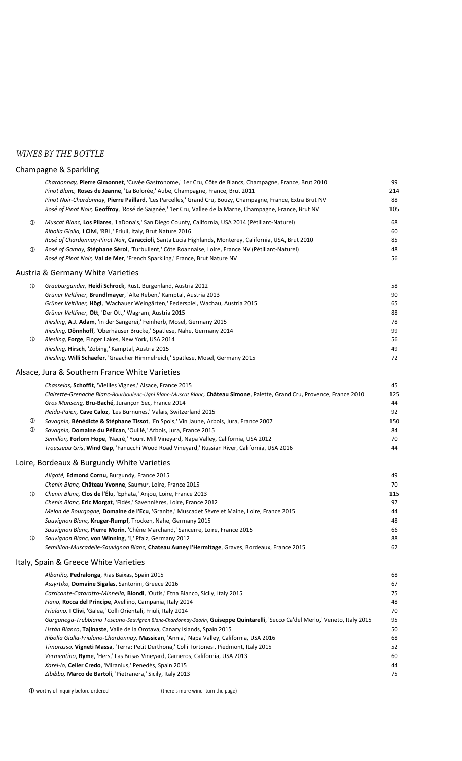## *WINES BY THE BOTTLE*

|                   | Champagne & Sparkling                                                                                                                                                                                                                                                                                                                                                                                                                                                                                                                                                                                                                                                                                                                                                                                                                                                                                                                   |                                                                      |
|-------------------|-----------------------------------------------------------------------------------------------------------------------------------------------------------------------------------------------------------------------------------------------------------------------------------------------------------------------------------------------------------------------------------------------------------------------------------------------------------------------------------------------------------------------------------------------------------------------------------------------------------------------------------------------------------------------------------------------------------------------------------------------------------------------------------------------------------------------------------------------------------------------------------------------------------------------------------------|----------------------------------------------------------------------|
|                   | Chardonnay, Pierre Gimonnet, 'Cuvée Gastronome,' 1er Cru, Côte de Blancs, Champagne, France, Brut 2010<br>Pinot Blanc, Roses de Jeanne, 'La Bolorée,' Aube, Champagne, France, Brut 2011<br>Pinot Noir-Chardonnay, Pierre Paillard, 'Les Parcelles,' Grand Cru, Bouzy, Champagne, France, Extra Brut NV<br>Rosé of Pinot Noir, Geoffroy, 'Rosé de Saignée,' 1er Cru, Vallee de la Marne, Champagne, France, Brut NV                                                                                                                                                                                                                                                                                                                                                                                                                                                                                                                     | 99<br>214<br>88<br>105                                               |
| ⊕<br>$^\circledR$ | Muscat Blanc, Los Pilares, 'LaDona's,' San Diego County, California, USA 2014 (Pétillant-Naturel)<br>Ribolla Gialla, I Clivi, 'RBL,' Friuli, Italy, Brut Nature 2016<br>Rosé of Chardonnay-Pinot Noir, Caraccioli, Santa Lucia Highlands, Monterey, California, USA, Brut 2010<br>Rosé of Gamay, Stéphane Sérol, 'Turbullent,' Côte Roannaise, Loire, France NV (Pétillant-Naturel)<br>Rosé of Pinot Noir, Val de Mer, 'French Sparkling,' France, Brut Nature NV                                                                                                                                                                                                                                                                                                                                                                                                                                                                       | 68<br>60<br>85<br>48<br>56                                           |
|                   | <b>Austria &amp; Germany White Varieties</b>                                                                                                                                                                                                                                                                                                                                                                                                                                                                                                                                                                                                                                                                                                                                                                                                                                                                                            |                                                                      |
| ⊕<br>⊕            | Grauburgunder, Heidi Schrock, Rust, Burgenland, Austria 2012<br>Grüner Veltliner, Brundlmayer, 'Alte Reben,' Kamptal, Austria 2013<br>Grüner Veltliner, Högl, 'Wachauer Weingärten,' Federspiel, Wachau, Austria 2015<br>Grüner Veltliner, Ott, 'Der Ott,' Wagram, Austria 2015<br>Riesling, A.J. Adam, 'in der Sängerei,' Feinherb, Mosel, Germany 2015<br>Riesling, Dönnhoff, 'Oberhäuser Brücke,' Spätlese, Nahe, Germany 2014<br>Riesling, Forge, Finger Lakes, New York, USA 2014<br>Riesling, Hirsch, 'Zöbing,' Kamptal, Austria 2015<br>Riesling, Willi Schaefer, 'Graacher Himmelreich,' Spätlese, Mosel, Germany 2015                                                                                                                                                                                                                                                                                                          | 58<br>90<br>65<br>88<br>78<br>99<br>56<br>49<br>72                   |
|                   | Alsace, Jura & Southern France White Varieties                                                                                                                                                                                                                                                                                                                                                                                                                                                                                                                                                                                                                                                                                                                                                                                                                                                                                          |                                                                      |
| ⊕<br>⊕            | Chasselas, Schoffit, 'Vieilles Vignes,' Alsace, France 2015<br>Clairette-Grenache Blanc-Bourboulenc-Ugni Blanc-Muscat Blanc, Château Simone, Palette, Grand Cru, Provence, France 2010<br>Gros Manseng, Bru-Baché, Jurançon Sec, France 2014<br>Heida-Paien, Cave Caloz, 'Les Burnunes,' Valais, Switzerland 2015<br>Savagnin, Bénédicte & Stéphane Tissot, 'En Spois,' Vin Jaune, Arbois, Jura, France 2007<br>Savagnin, Domaine du Pélican, 'Ouillé,' Arbois, Jura, France 2015<br>Semillon, Forlorn Hope, 'Nacré,' Yount Mill Vineyard, Napa Valley, California, USA 2012<br>Trousseau Gris, Wind Gap, 'Fanucchi Wood Road Vineyard,' Russian River, California, USA 2016                                                                                                                                                                                                                                                            | 45<br>125<br>44<br>92<br>150<br>84<br>70<br>44                       |
|                   | Loire, Bordeaux & Burgundy White Varieties                                                                                                                                                                                                                                                                                                                                                                                                                                                                                                                                                                                                                                                                                                                                                                                                                                                                                              |                                                                      |
| ⊕<br>⊕            | Aligoté, Edmond Cornu, Burgundy, France 2015<br>Chenin Blanc, Château Yvonne, Saumur, Loire, France 2015<br>Chenin Blanc, Clos de l'Élu, 'Ephata,' Anjou, Loire, France 2013<br>Chenin Blanc, Eric Morgat, 'Fidès,' Savennières, Loire, France 2012<br>Melon de Bourgogne, Domaine de l'Ecu, 'Granite,' Muscadet Sèvre et Maine, Loire, France 2015<br>Sauvignon Blanc, Kruger-Rumpf, Trocken, Nahe, Germany 2015<br>Sauvignon Blanc, Pierre Morin, 'Chêne Marchand,' Sancerre, Loire, France 2015<br>Sauvignon Blanc, von Winning, 'I,' Pfalz, Germany 2012<br>Semillion-Muscadelle-Sauvignon Blanc, Chateau Auney l'Hermitage, Graves, Bordeaux, France 2015                                                                                                                                                                                                                                                                          | 49<br>70<br>115<br>97<br>44<br>48<br>66<br>88<br>62                  |
|                   | Italy, Spain & Greece White Varieties                                                                                                                                                                                                                                                                                                                                                                                                                                                                                                                                                                                                                                                                                                                                                                                                                                                                                                   |                                                                      |
|                   | Albariño, Pedralonga, Rias Baixas, Spain 2015<br>Assyrtiko, Domaine Sigalas, Santorini, Greece 2016<br>Carricante-Cataratto-Minnella, Biondi, 'Outis,' Etna Bianco, Sicily, Italy 2015<br>Fiano, Rocca del Principe, Avellino, Campania, Italy 2014<br>Friulano, I Clivi, 'Galea,' Colli Orientali, Friuli, Italy 2014<br>Garganega-Trebbiano Toscano-Sauvignon Blanc-Chardonnay-Saorin, Guiseppe Quintarelli, 'Secco Ca'del Merlo,' Veneto, Italy 2015<br>Listán Blanco, Tajinaste, Valle de la Orotava, Canary Islands, Spain 2015<br>Ribolla Gialla-Friulano-Chardonnay, Massican, 'Annia,' Napa Valley, California, USA 2016<br>Timorasso, Vigneti Massa, 'Terra: Petit Derthona,' Colli Tortonesi, Piedmont, Italy 2015<br>Vermentino, Ryme, 'Hers,' Las Brisas Vineyard, Carneros, California, USA 2013<br>Xarel-lo, Celler Credo, 'Miranius,' Penedès, Spain 2015<br>Zibibbo, Marco de Bartoli, 'Pietranera,' Sicily, Italy 2013 | 68<br>67<br>75<br>48<br>70<br>95<br>50<br>68<br>52<br>60<br>44<br>75 |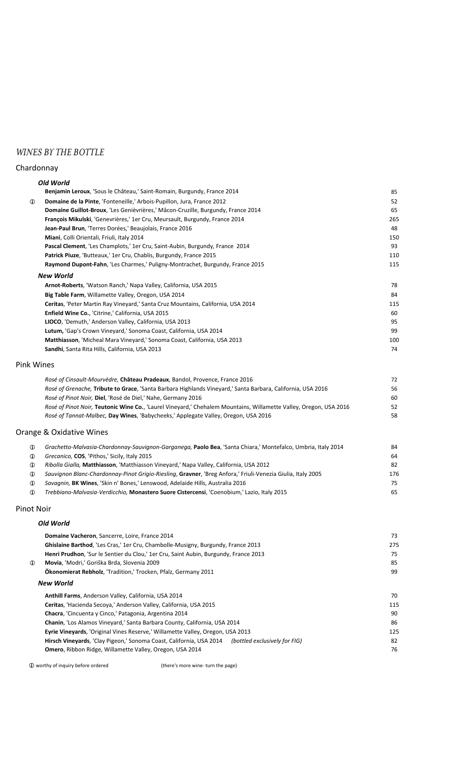# *WINES BY THE BOTTLE*

#### Chardonnay

|                   | Old World                                                                                                         |     |
|-------------------|-------------------------------------------------------------------------------------------------------------------|-----|
|                   | Benjamin Leroux, 'Sous le Château,' Saint-Romain, Burgundy, France 2014                                           | 85  |
| $^\circledR$      | Domaine de la Pinte, 'Fonteneille,' Arbois-Pupillon, Jura, France 2012                                            | 52  |
|                   | Domaine Guillot-Broux, 'Les Genièvrières,' Mâcon-Cruzille, Burgundy, France 2014                                  | 65  |
|                   | François Mikulski, 'Genevrières,' 1er Cru, Meursault, Burgundy, France 2014                                       | 265 |
|                   | Jean-Paul Brun, 'Terres Dorées,' Beaujolais, France 2016                                                          | 48  |
|                   | Miani, Colli Orientali, Friuli, Italy 2014                                                                        | 150 |
|                   | Pascal Clement, 'Les Champlots,' 1er Cru, Saint-Aubin, Burgundy, France 2014                                      | 93  |
|                   | Patrick Piuze, 'Butteaux,' 1er Cru, Chablis, Burgundy, France 2015                                                | 110 |
|                   | Raymond Dupont-Fahn, 'Les Charmes,' Puligny-Montrachet, Burgundy, France 2015                                     | 115 |
|                   | <b>New World</b>                                                                                                  |     |
|                   | Arnot-Roberts, 'Watson Ranch,' Napa Valley, California, USA 2015                                                  | 78  |
|                   | Big Table Farm, Willamette Valley, Oregon, USA 2014                                                               | 84  |
|                   | Ceritas, 'Peter Martin Ray Vineyard,' Santa Cruz Mountains, California, USA 2014                                  | 115 |
|                   | Enfield Wine Co., 'Citrine,' California, USA 2015                                                                 | 60  |
|                   | LIOCO, 'Demuth,' Anderson Valley, California, USA 2013                                                            | 95  |
|                   | Lutum, 'Gap's Crown Vineyard,' Sonoma Coast, California, USA 2014                                                 | 99  |
|                   | Matthiasson, 'Micheal Mara Vineyard,' Sonoma Coast, California, USA 2013                                          | 100 |
|                   | Sandhi, Santa Rita Hills, California, USA 2013                                                                    | 74  |
| <b>Pink Wines</b> |                                                                                                                   |     |
|                   | Rosé of Cinsault-Mourvèdre, Château Pradeaux, Bandol, Provence, France 2016                                       | 72  |
|                   | Rosé of Grenache, Tribute to Grace, 'Santa Barbara Highlands Vineyard,' Santa Barbara, California, USA 2016       | 56  |
|                   | Rosé of Pinot Noir, Diel, 'Rosé de Diel,' Nahe, Germany 2016                                                      | 60  |
|                   | Rosé of Pinot Noir, Teutonic Wine Co., 'Laurel Vineyard,' Chehalem Mountains, Willamette Valley, Oregon, USA 2016 | 52  |
|                   | Rosé of Tannat-Malbec, Day Wines, 'Babycheeks,' Applegate Valley, Oregon, USA 2016                                | 58  |
|                   | Orange & Oxidative Wines                                                                                          |     |
| $^\circledR$      | Grachetto-Malvasia-Chardonnay-Sauvignon-Garganega, Paolo Bea, 'Santa Chiara,' Montefalco, Umbria, Italy 2014      | 84  |
| ⊕                 | Grecanico, COS, 'Pithos,' Sicily, Italy 2015                                                                      | 64  |
| ⊕                 | Ribolla Gialla, Matthiasson, 'Matthiasson Vineyard,' Napa Valley, California, USA 2012                            | 82  |
| ⊕                 | Sauvignon Blanc-Chardonnay-Pinot Grigio-Riesling, Gravner, 'Breg Anfora,' Friuli-Venezia Giulia, Italy 2005       | 176 |
| ⊕                 | Savagnin, BK Wines, 'Skin n' Bones,' Lenswood, Adelaide Hills, Australia 2016                                     | 75  |
| $\mathbf{r}$      | Trebbiano-Malvasia-Verdicchio, Monastero Suore Cistercensi, 'Coenobium,' Lazio, Italy 2015                        | 65  |
| <b>Pinot Noir</b> |                                                                                                                   |     |
|                   | Old World                                                                                                         |     |
|                   |                                                                                                                   |     |

| Domaine Vacheron, Sancerre, Loire, France 2014                                                    | 73  |
|---------------------------------------------------------------------------------------------------|-----|
| Ghislaine Barthod, 'Les Cras,' 1er Cru, Chambolle-Musigny, Burgundy, France 2013                  | 275 |
| Henri Prudhon, 'Sur le Sentier du Clou,' 1er Cru, Saint Aubin, Burgundy, France 2013              | 75  |
| Movia, 'Modri,' Goriška Brda, Slovenia 2009<br>$\mathbf{r}$                                       | 85  |
| <b>Ökonomierat Rebholz</b> , 'Tradition,' Trocken, Pfalz, Germany 2011                            | 99  |
| <b>New World</b>                                                                                  |     |
| Anthill Farms, Anderson Valley, California, USA 2014                                              | 70  |
| Ceritas, 'Hacienda Secoya,' Anderson Valley, California, USA 2015                                 | 115 |
| <b>Chacra, 'Cincuenta y Cinco,' Patagonia, Argentina 2014</b>                                     | 90  |
| Chanin, 'Los Alamos Vineyard,' Santa Barbara County, California, USA 2014                         | 86  |
| Eyrie Vineyards, 'Original Vines Reserve,' Willamette Valley, Oregon, USA 2013                    | 125 |
| Hirsch Vineyards, 'Clay Pigeon,' Sonoma Coast, California, USA 2014 (bottled exclusively for FIG) | 82  |
| <b>Omero, Ribbon Ridge, Willamette Valley, Oregon, USA 2014</b>                                   | 76  |
|                                                                                                   |     |

**1** worthy of inquiry before ordered **A** (there's more wine- turn the page)